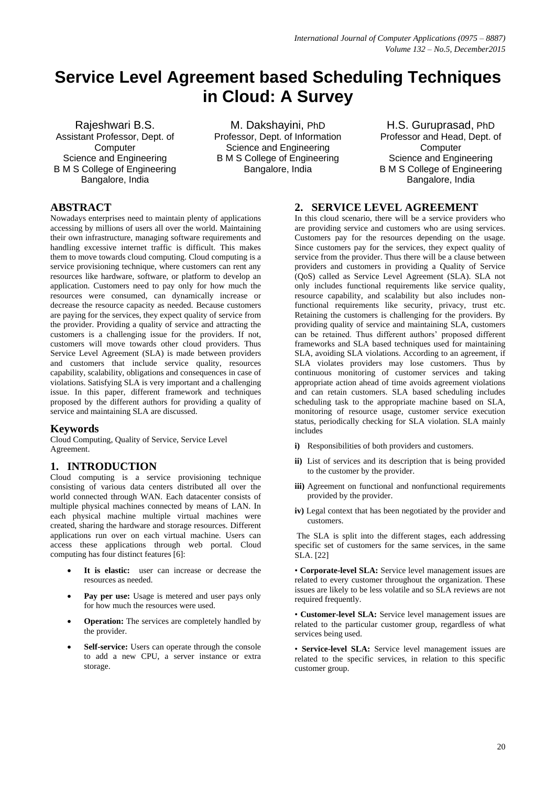# **Service Level Agreement based Scheduling Techniques in Cloud: A Survey**

Rajeshwari B.S. Assistant Professor, Dept. of **Computer** Science and Engineering B M S College of Engineering Bangalore, India

M. Dakshayini, PhD Professor, Dept. of Information Science and Engineering B M S College of Engineering Bangalore, India

H.S. Guruprasad, PhD Professor and Head, Dept. of **Computer** Science and Engineering B M S College of Engineering Bangalore, India

## **ABSTRACT**

Nowadays enterprises need to maintain plenty of applications accessing by millions of users all over the world. Maintaining their own infrastructure, managing software requirements and handling excessive internet traffic is difficult. This makes them to move towards cloud computing. Cloud computing is a service provisioning technique, where customers can rent any resources like hardware, software, or platform to develop an application. Customers need to pay only for how much the resources were consumed, can dynamically increase or decrease the resource capacity as needed. Because customers are paying for the services, they expect quality of service from the provider. Providing a quality of service and attracting the customers is a challenging issue for the providers. If not, customers will move towards other cloud providers. Thus Service Level Agreement (SLA) is made between providers and customers that include service quality, resources capability, scalability, obligations and consequences in case of violations. Satisfying SLA is very important and a challenging issue. In this paper, different framework and techniques proposed by the different authors for providing a quality of service and maintaining SLA are discussed.

#### **Keywords**

Cloud Computing, Quality of Service, Service Level Agreement.

# **1. INTRODUCTION**

Cloud computing is a service provisioning technique consisting of various data centers distributed all over the world connected through WAN. Each datacenter consists of multiple physical machines connected by means of LAN. In each physical machine multiple virtual machines were created, sharing the hardware and storage resources. Different applications run over on each virtual machine. Users can access these applications through web portal. Cloud computing has four distinct features [6]:

- **It is elastic:** user can increase or decrease the resources as needed.
- **Pay per use:** Usage is metered and user pays only for how much the resources were used.
- **Operation:** The services are completely handled by the provider.
- **Self-service:** Users can operate through the console to add a new CPU, a server instance or extra storage.

## **2. SERVICE LEVEL AGREEMENT**

In this cloud scenario, there will be a service providers who are providing service and customers who are using services. Customers pay for the resources depending on the usage. Since customers pay for the services, they expect quality of service from the provider. Thus there will be a clause between providers and customers in providing a Quality of Service (QoS) called as Service Level Agreement (SLA). SLA not only includes functional requirements like service quality, resource capability, and scalability but also includes nonfunctional requirements like security, privacy, trust etc. Retaining the customers is challenging for the providers. By providing quality of service and maintaining SLA, customers can be retained. Thus different authors' proposed different frameworks and SLA based techniques used for maintaining SLA, avoiding SLA violations. According to an agreement, if SLA violates providers may lose customers. Thus by continuous monitoring of customer services and taking appropriate action ahead of time avoids agreement violations and can retain customers. SLA based scheduling includes scheduling task to the appropriate machine based on SLA, monitoring of resource usage, customer service execution status, periodically checking for SLA violation. SLA mainly includes

- **i)** Responsibilities of both providers and customers.
- **ii)** List of services and its description that is being provided to the customer by the provider.
- **iii**) Agreement on functional and nonfunctional requirements provided by the provider.
- **iv)** Legal context that has been negotiated by the provider and customers.

The SLA is split into the different stages, each addressing specific set of customers for the same services, in the same SLA. [22]

• **Corporate-level SLA:** Service level management issues are related to every customer throughout the organization. These issues are likely to be less volatile and so SLA reviews are not required frequently.

• **Customer-level SLA:** Service level management issues are related to the particular customer group, regardless of what services being used.

• **Service-level SLA:** Service level management issues are related to the specific services, in relation to this specific customer group.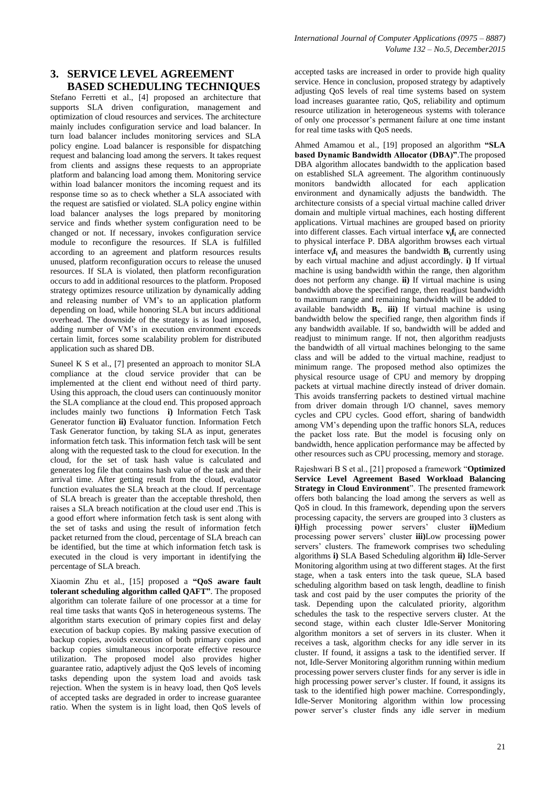Stefano Ferretti et al., [4] proposed an architecture that supports SLA driven configuration, management and optimization of cloud resources and services. The architecture mainly includes configuration service and load balancer. In turn load balancer includes monitoring services and SLA policy engine. Load balancer is responsible for dispatching request and balancing load among the servers. It takes request from clients and assigns these requests to an appropriate platform and balancing load among them. Monitoring service within load balancer monitors the incoming request and its response time so as to check whether a SLA associated with the request are satisfied or violated. SLA policy engine within load balancer analyses the logs prepared by monitoring service and finds whether system configuration need to be changed or not. If necessary, invokes configuration service module to reconfigure the resources. If SLA is fulfilled according to an agreement and platform resources results unused, platform reconfiguration occurs to release the unused resources. If SLA is violated, then platform reconfiguration occurs to add in additional resources to the platform. Proposed strategy optimizes resource utilization by dynamically adding and releasing number of VM's to an application platform depending on load, while honoring SLA but incurs additional overhead. The downside of the strategy is as load imposed, adding number of VM's in execution environment exceeds certain limit, forces some scalability problem for distributed application such as shared DB.

Suneel K S et al., [7] presented an approach to monitor SLA compliance at the cloud service provider that can be implemented at the client end without need of third party. Using this approach, the cloud users can continuously monitor the SLA compliance at the cloud end. This proposed approach includes mainly two functions **i)** Information Fetch Task Generator function **ii)** Evaluator function. Information Fetch Task Generator function, by taking SLA as input, generates information fetch task. This information fetch task will be sent along with the requested task to the cloud for execution. In the cloud, for the set of task hash value is calculated and generates log file that contains hash value of the task and their arrival time. After getting result from the cloud, evaluator function evaluates the SLA breach at the cloud. If percentage of SLA breach is greater than the acceptable threshold, then raises a SLA breach notification at the cloud user end .This is a good effort where information fetch task is sent along with the set of tasks and using the result of information fetch packet returned from the cloud, percentage of SLA breach can be identified, but the time at which information fetch task is executed in the cloud is very important in identifying the percentage of SLA breach.

Xiaomin Zhu et al., [15] proposed a **"QoS aware fault tolerant scheduling algorithm called QAFT"**. The proposed algorithm can tolerate failure of one processor at a time for real time tasks that wants QoS in heterogeneous systems. The algorithm starts execution of primary copies first and delay execution of backup copies. By making passive execution of backup copies, avoids execution of both primary copies and backup copies simultaneous incorporate effective resource utilization. The proposed model also provides higher guarantee ratio, adaptively adjust the QoS levels of incoming tasks depending upon the system load and avoids task rejection. When the system is in heavy load, then QoS levels of accepted tasks are degraded in order to increase guarantee ratio. When the system is in light load, then QoS levels of accepted tasks are increased in order to provide high quality service. Hence in conclusion, proposed strategy by adaptively adjusting QoS levels of real time systems based on system load increases guarantee ratio, QoS, reliability and optimum resource utilization in heterogeneous systems with tolerance of only one processor's permanent failure at one time instant for real time tasks with QoS needs.

Ahmed Amamou et al., [19] proposed an algorithm **"SLA based Dynamic Bandwidth Allocator (DBA)"**.The proposed DBA algorithm allocates bandwidth to the application based on established SLA agreement. The algorithm continuously monitors bandwidth allocated for each application environment and dynamically adjusts the bandwidth. The architecture consists of a special virtual machine called driver domain and multiple virtual machines, each hosting different applications. Virtual machines are grouped based on priority into different classes. Each virtual interface **v<sup>i</sup> f<sup>i</sup>** are connected to physical interface P. DBA algorithm browses each virtual interface  $\mathbf{v}_i \mathbf{f}_i$  and measures the bandwidth  $\mathbf{B}_i$  currently using by each virtual machine and adjust accordingly. **i)** If virtual machine is using bandwidth within the range, then algorithm does not perform any change. **ii)** If virtual machine is using bandwidth above the specified range, then readjust bandwidth to maximum range and remaining bandwidth will be added to available bandwidth **Bx**. **iii)** If virtual machine is using bandwidth below the specified range, then algorithm finds if any bandwidth available. If so, bandwidth will be added and readjust to minimum range. If not, then algorithm readjusts the bandwidth of all virtual machines belonging to the same class and will be added to the virtual machine, readjust to minimum range. The proposed method also optimizes the physical resource usage of CPU and memory by dropping packets at virtual machine directly instead of driver domain. This avoids transferring packets to destined virtual machine from driver domain through I/O channel, saves memory cycles and CPU cycles. Good effort, sharing of bandwidth among VM's depending upon the traffic honors SLA, reduces the packet loss rate. But the model is focusing only on bandwidth, hence application performance may be affected by other resources such as CPU processing, memory and storage.

Rajeshwari B S et al., [21] proposed a framework "**Optimized Service Level Agreement Based Workload Balancing Strategy in Cloud Environment**". The presented framework offers both balancing the load among the servers as well as QoS in cloud. In this framework, depending upon the servers processing capacity, the servers are grouped into 3 clusters as **i)**High processing power servers' cluster **ii)**Medium processing power servers' cluster **iii)**Low processing power servers' clusters. The framework comprises two scheduling algorithms **i)** SLA Based Scheduling algorithm **ii)** Idle-Server Monitoring algorithm using at two different stages. At the first stage, when a task enters into the task queue, SLA based scheduling algorithm based on task length, deadline to finish task and cost paid by the user computes the priority of the task. Depending upon the calculated priority, algorithm schedules the task to the respective servers cluster. At the second stage, within each cluster Idle-Server Monitoring algorithm monitors a set of servers in its cluster. When it receives a task, algorithm checks for any idle server in its cluster. If found, it assigns a task to the identified server. If not, Idle-Server Monitoring algorithm running within medium processing power servers cluster finds for any server is idle in high processing power server's cluster. If found, it assigns its task to the identified high power machine. Correspondingly, Idle-Server Monitoring algorithm within low processing power server's cluster finds any idle server in medium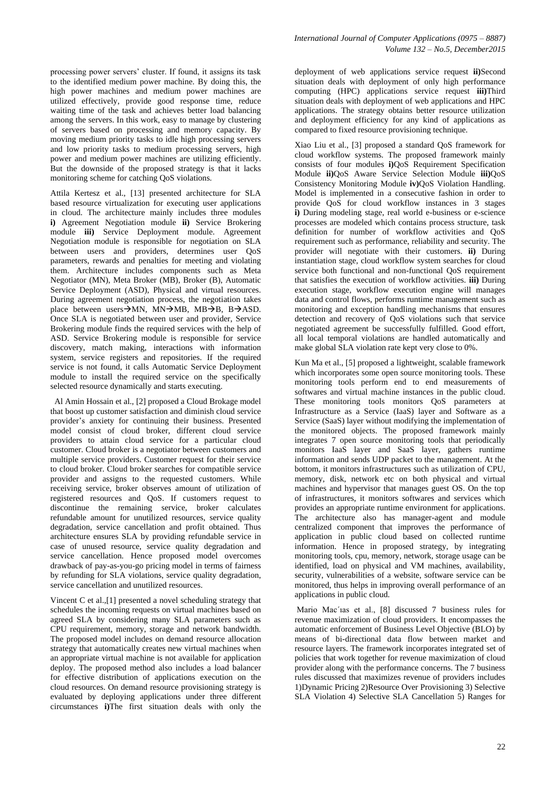processing power servers' cluster. If found, it assigns its task to the identified medium power machine. By doing this, the high power machines and medium power machines are utilized effectively, provide good response time, reduce waiting time of the task and achieves better load balancing among the servers. In this work, easy to manage by clustering of servers based on processing and memory capacity. By moving medium priority tasks to idle high processing servers and low priority tasks to medium processing servers, high power and medium power machines are utilizing efficiently. But the downside of the proposed strategy is that it lacks monitoring scheme for catching QoS violations.

Attila Kertesz et al., [13] presented architecture for SLA based resource virtualization for executing user applications in cloud. The architecture mainly includes three modules **i)** Agreement Negotiation module **ii)** Service Brokering module **iii)** Service Deployment module. Agreement Negotiation module is responsible for negotiation on SLA between users and providers, determines user QoS parameters, rewards and penalties for meeting and violating them. Architecture includes components such as Meta Negotiator (MN), Meta Broker (MB), Broker (B), Automatic Service Deployment (ASD), Physical and virtual resources. During agreement negotiation process, the negotiation takes place between users  $\rightarrow$  MN, MN $\rightarrow$ MB, MB $\rightarrow$ B, B $\rightarrow$ ASD. Once SLA is negotiated between user and provider, Service Brokering module finds the required services with the help of ASD. Service Brokering module is responsible for service discovery, match making, interactions with information system, service registers and repositories. If the required service is not found, it calls Automatic Service Deployment module to install the required service on the specifically selected resource dynamically and starts executing.

Al Amin Hossain et al., [2] proposed a Cloud Brokage model that boost up customer satisfaction and diminish cloud service provider's anxiety for continuing their business. Presented model consist of cloud broker, different cloud service providers to attain cloud service for a particular cloud customer. Cloud broker is a negotiator between customers and multiple service providers. Customer request for their service to cloud broker. Cloud broker searches for compatible service provider and assigns to the requested customers. While receiving service, broker observes amount of utilization of registered resources and QoS. If customers request to discontinue the remaining service, broker calculates refundable amount for unutilized resources, service quality degradation, service cancellation and profit obtained. Thus architecture ensures SLA by providing refundable service in case of unused resource, service quality degradation and service cancellation. Hence proposed model overcomes drawback of pay-as-you-go pricing model in terms of fairness by refunding for SLA violations, service quality degradation, service cancellation and unutilized resources.

Vincent C et al.,[1] presented a novel scheduling strategy that schedules the incoming requests on virtual machines based on agreed SLA by considering many SLA parameters such as CPU requirement, memory, storage and network bandwidth. The proposed model includes on demand resource allocation strategy that automatically creates new virtual machines when an appropriate virtual machine is not available for application deploy. The proposed method also includes a load balancer for effective distribution of applications execution on the cloud resources. On demand resource provisioning strategy is evaluated by deploying applications under three different circumstances **i)**The first situation deals with only the

deployment of web applications service request **ii)**Second situation deals with deployment of only high performance computing (HPC) applications service request **iii)**Third situation deals with deployment of web applications and HPC applications. The strategy obtains better resource utilization and deployment efficiency for any kind of applications as compared to fixed resource provisioning technique.

Xiao Liu et al., [3] proposed a standard QoS framework for cloud workflow systems. The proposed framework mainly consists of four modules **i)**QoS Requirement Specification Module **ii)**QoS Aware Service Selection Module **iii)**QoS Consistency Monitoring Module **iv)**QoS Violation Handling. Model is implemented in a consecutive fashion in order to provide QoS for cloud workflow instances in 3 stages **i)** During modeling stage, real world e-business or e-science processes are modeled which contains process structure, task definition for number of workflow activities and QoS requirement such as performance, reliability and security. The provider will negotiate with their customers. **ii)** During instantiation stage, cloud workflow system searches for cloud service both functional and non-functional QoS requirement that satisfies the execution of workflow activities. **iii)** During execution stage, workflow execution engine will manages data and control flows, performs runtime management such as monitoring and exception handling mechanisms that ensures detection and recovery of QoS violations such that service negotiated agreement be successfully fulfilled. Good effort, all local temporal violations are handled automatically and make global SLA violation rate kept very close to 0%.

Kun Ma et al., [5] proposed a lightweight, scalable framework which incorporates some open source monitoring tools. These monitoring tools perform end to end measurements of softwares and virtual machine instances in the public cloud. These monitoring tools monitors QoS parameters at Infrastructure as a Service (IaaS) layer and Software as a Service (SaaS) layer without modifying the implementation of the monitored objects. The proposed framework mainly integrates 7 open source monitoring tools that periodically monitors IaaS layer and SaaS layer, gathers runtime information and sends UDP packet to the management. At the bottom, it monitors infrastructures such as utilization of CPU, memory, disk, network etc on both physical and virtual machines and hypervisor that manages guest OS. On the top of infrastructures, it monitors softwares and services which provides an appropriate runtime environment for applications. The architecture also has manager-agent and module centralized component that improves the performance of application in public cloud based on collected runtime information. Hence in proposed strategy, by integrating monitoring tools, cpu, memory, network, storage usage can be identified, load on physical and VM machines, availability, security, vulnerabilities of a website, software service can be monitored, thus helps in improving overall performance of an applications in public cloud.

Mario Mac´ıas et al., [8] discussed 7 business rules for revenue maximization of cloud providers. It encompasses the automatic enforcement of Business Level Objective (BLO) by means of bi-directional data flow between market and resource layers. The framework incorporates integrated set of policies that work together for revenue maximization of cloud provider along with the performance concerns. The 7 business rules discussed that maximizes revenue of providers includes 1)Dynamic Pricing 2)Resource Over Provisioning 3) Selective SLA Violation 4) Selective SLA Cancellation 5) Ranges for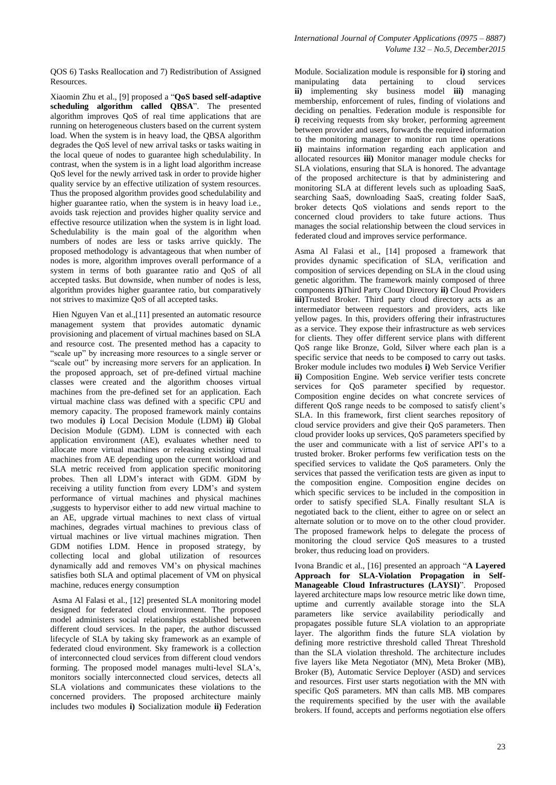QOS 6) Tasks Reallocation and 7) Redistribution of Assigned Resources.

Xiaomin Zhu et al., [9] proposed a "**QoS based self-adaptive scheduling algorithm called QBSA**". The presented algorithm improves QoS of real time applications that are running on heterogeneous clusters based on the current system load. When the system is in heavy load, the QBSA algorithm degrades the QoS level of new arrival tasks or tasks waiting in the local queue of nodes to guarantee high schedulability. In contrast, when the system is in a light load algorithm increase QoS level for the newly arrived task in order to provide higher quality service by an effective utilization of system resources. Thus the proposed algorithm provides good schedulability and higher guarantee ratio, when the system is in heavy load i.e., avoids task rejection and provides higher quality service and effective resource utilization when the system is in light load. Schedulability is the main goal of the algorithm when numbers of nodes are less or tasks arrive quickly. The proposed methodology is advantageous that when number of nodes is more, algorithm improves overall performance of a system in terms of both guarantee ratio and QoS of all accepted tasks. But downside, when number of nodes is less, algorithm provides higher guarantee ratio, but comparatively not strives to maximize QoS of all accepted tasks.

Hien Nguyen Van et al.,[11] presented an automatic resource management system that provides automatic dynamic provisioning and placement of virtual machines based on SLA and resource cost. The presented method has a capacity to "scale up" by increasing more resources to a single server or "scale out" by increasing more servers for an application. In the proposed approach, set of pre-defined virtual machine classes were created and the algorithm chooses virtual machines from the pre-defined set for an application. Each virtual machine class was defined with a specific CPU and memory capacity. The proposed framework mainly contains two modules **i)** Local Decision Module (LDM) **ii)** Global Decision Module (GDM). LDM is connected with each application environment (AE), evaluates whether need to allocate more virtual machines or releasing existing virtual machines from AE depending upon the current workload and SLA metric received from application specific monitoring probes. Then all LDM's interact with GDM. GDM by receiving a utility function from every LDM's and system performance of virtual machines and physical machines ,suggests to hypervisor either to add new virtual machine to an AE, upgrade virtual machines to next class of virtual machines, degrades virtual machines to previous class of virtual machines or live virtual machines migration. Then GDM notifies LDM. Hence in proposed strategy, by collecting local and global utilization of resources dynamically add and removes VM's on physical machines satisfies both SLA and optimal placement of VM on physical machine, reduces energy consumption

Asma Al Falasi et al., [12] presented SLA monitoring model designed for federated cloud environment. The proposed model administers social relationships established between different cloud services. In the paper, the author discussed lifecycle of SLA by taking sky framework as an example of federated cloud environment. Sky framework is a collection of interconnected cloud services from different cloud vendors forming. The proposed model manages multi-level SLA's, monitors socially interconnected cloud services, detects all SLA violations and communicates these violations to the concerned providers. The proposed architecture mainly includes two modules **i)** Socialization module **ii)** Federation

Module. Socialization module is responsible for **i)** storing and manipulating data pertaining to cloud services **ii)** implementing sky business model **iii)** managing membership, enforcement of rules, finding of violations and deciding on penalties. Federation module is responsible for **i)** receiving requests from sky broker, performing agreement between provider and users, forwards the required information to the monitoring manager to monitor run time operations **ii)** maintains information regarding each application and allocated resources **iii)** Monitor manager module checks for SLA violations, ensuring that SLA is honored. The advantage of the proposed architecture is that by administering and monitoring SLA at different levels such as uploading SaaS, searching SaaS, downloading SaaS, creating folder SaaS, broker detects QoS violations and sends report to the concerned cloud providers to take future actions. Thus manages the social relationship between the cloud services in federated cloud and improves service performance.

Asma Al Falasi et al., [14] proposed a framework that provides dynamic specification of SLA, verification and composition of services depending on SLA in the cloud using genetic algorithm. The framework mainly composed of three components **i)**Third Party Cloud Directory **ii)** Cloud Providers **iii)**Trusted Broker. Third party cloud directory acts as an intermediator between requestors and providers, acts like yellow pages. In this, providers offering their infrastructures as a service. They expose their infrastructure as web services for clients. They offer different service plans with different QoS range like Bronze, Gold, Silver where each plan is a specific service that needs to be composed to carry out tasks. Broker module includes two modules **i)** Web Service Verifier **ii)** Composition Engine. Web service verifier tests concrete services for QoS parameter specified by requestor. Composition engine decides on what concrete services of different QoS range needs to be composed to satisfy client's SLA. In this framework, first client searches repository of cloud service providers and give their QoS parameters. Then cloud provider looks up services, QoS parameters specified by the user and communicate with a list of service API's to a trusted broker. Broker performs few verification tests on the specified services to validate the QoS parameters. Only the services that passed the verification tests are given as input to the composition engine. Composition engine decides on which specific services to be included in the composition in order to satisfy specified SLA. Finally resultant SLA is negotiated back to the client, either to agree on or select an alternate solution or to move on to the other cloud provider. The proposed framework helps to delegate the process of monitoring the cloud service QoS measures to a trusted broker, thus reducing load on providers.

Ivona Brandic et al., [16] presented an approach "**A Layered Approach for SLA-Violation Propagation in Self-Manageable Cloud Infrastructures (LAYSI)**". Proposed layered architecture maps low resource metric like down time, uptime and currently available storage into the SLA parameters like service availability periodically and propagates possible future SLA violation to an appropriate layer. The algorithm finds the future SLA violation by defining more restrictive threshold called Threat Threshold than the SLA violation threshold. The architecture includes five layers like Meta Negotiator (MN), Meta Broker (MB), Broker (B), Automatic Service Deployer (ASD) and services and resources. First user starts negotiation with the MN with specific QoS parameters. MN than calls MB. MB compares the requirements specified by the user with the available brokers. If found, accepts and performs negotiation else offers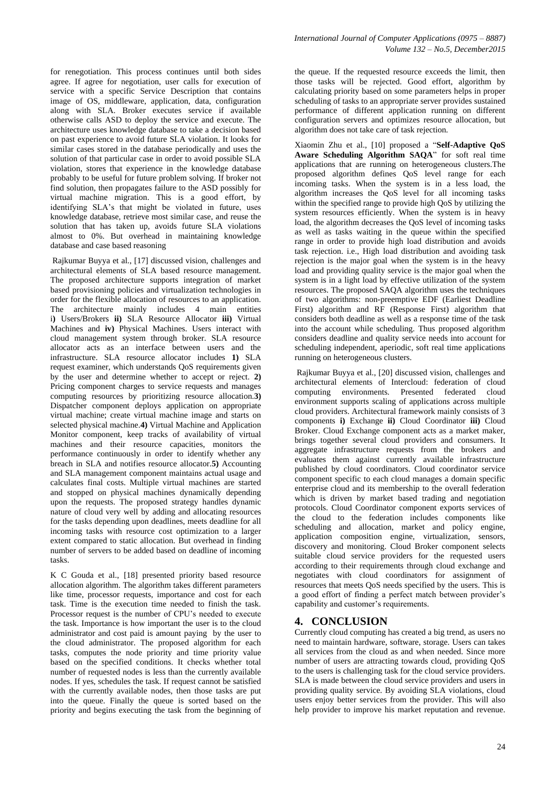for renegotiation. This process continues until both sides agree. If agree for negotiation, user calls for execution of service with a specific Service Description that contains image of OS, middleware, application, data, configuration along with SLA. Broker executes service if available otherwise calls ASD to deploy the service and execute. The architecture uses knowledge database to take a decision based on past experience to avoid future SLA violation. It looks for similar cases stored in the database periodically and uses the solution of that particular case in order to avoid possible SLA violation, stores that experience in the knowledge database probably to be useful for future problem solving. If broker not find solution, then propagates failure to the ASD possibly for virtual machine migration. This is a good effort, by identifying SLA's that might be violated in future, uses knowledge database, retrieve most similar case, and reuse the solution that has taken up, avoids future SLA violations almost to 0%. But overhead in maintaining knowledge database and case based reasoning

Rajkumar Buyya et al., [17] discussed vision, challenges and architectural elements of SLA based resource management. The proposed architecture supports integration of market based provisioning policies and virtualization technologies in order for the flexible allocation of resources to an application. The architecture mainly includes 4 main entities i**)** Users/Brokers **ii)** SLA Resource Allocator **iii)** Virtual Machines and **iv)** Physical Machines. Users interact with cloud management system through broker. SLA resource allocator acts as an interface between users and the infrastructure. SLA resource allocator includes **1)** SLA request examiner, which understands QoS requirements given by the user and determine whether to accept or reject. **2)** Pricing component charges to service requests and manages computing resources by prioritizing resource allocation.**3)** Dispatcher component deploys application on appropriate virtual machine; create virtual machine image and starts on selected physical machine.**4)** Virtual Machine and Application Monitor component, keep tracks of availability of virtual machines and their resource capacities, monitors the performance continuously in order to identify whether any breach in SLA and notifies resource allocator.**5)** Accounting and SLA management component maintains actual usage and calculates final costs. Multiple virtual machines are started and stopped on physical machines dynamically depending upon the requests. The proposed strategy handles dynamic nature of cloud very well by adding and allocating resources for the tasks depending upon deadlines, meets deadline for all incoming tasks with resource cost optimization to a larger extent compared to static allocation. But overhead in finding number of servers to be added based on deadline of incoming tasks.

K C Gouda et al., [18] presented priority based resource allocation algorithm. The algorithm takes different parameters like time, processor requests, importance and cost for each task. Time is the execution time needed to finish the task. Processor request is the number of CPU's needed to execute the task. Importance is how important the user is to the cloud administrator and cost paid is amount paying by the user to the cloud administrator. The proposed algorithm for each tasks, computes the node priority and time priority value based on the specified conditions. It checks whether total number of requested nodes is less than the currently available nodes. If yes, schedules the task. If request cannot be satisfied with the currently available nodes, then those tasks are put into the queue. Finally the queue is sorted based on the priority and begins executing the task from the beginning of

the queue. If the requested resource exceeds the limit, then those tasks will be rejected. Good effort, algorithm by calculating priority based on some parameters helps in proper scheduling of tasks to an appropriate server provides sustained performance of different application running on different configuration servers and optimizes resource allocation, but algorithm does not take care of task rejection.

Xiaomin Zhu et al., [10] proposed a "**Self-Adaptive QoS Aware Scheduling Algorithm SAQA**" for soft real time applications that are running on heterogeneous clusters.The proposed algorithm defines QoS level range for each incoming tasks. When the system is in a less load, the algorithm increases the QoS level for all incoming tasks within the specified range to provide high QoS by utilizing the system resources efficiently. When the system is in heavy load, the algorithm decreases the QoS level of incoming tasks as well as tasks waiting in the queue within the specified range in order to provide high load distribution and avoids task rejection. i.e., High load distribution and avoiding task rejection is the major goal when the system is in the heavy load and providing quality service is the major goal when the system is in a light load by effective utilization of the system resources. The proposed SAQA algorithm uses the techniques of two algorithms: non-preemptive EDF (Earliest Deadline First) algorithm and RF (Response First) algorithm that considers both deadline as well as a response time of the task into the account while scheduling. Thus proposed algorithm considers deadline and quality service needs into account for scheduling independent, aperiodic, soft real time applications running on heterogeneous clusters.

Rajkumar Buyya et al., [20] discussed vision, challenges and architectural elements of Intercloud: federation of cloud computing environments. Presented federated cloud environment supports scaling of applications across multiple cloud providers. Architectural framework mainly consists of 3 components **i)** Exchange **ii)** Cloud Coordinator **iii)** Cloud Broker. Cloud Exchange component acts as a market maker, brings together several cloud providers and consumers. It aggregate infrastructure requests from the brokers and evaluates them against currently available infrastructure published by cloud coordinators. Cloud coordinator service component specific to each cloud manages a domain specific enterprise cloud and its membership to the overall federation which is driven by market based trading and negotiation protocols. Cloud Coordinator component exports services of the cloud to the federation includes components like scheduling and allocation, market and policy engine, application composition engine, virtualization, sensors, discovery and monitoring. Cloud Broker component selects suitable cloud service providers for the requested users according to their requirements through cloud exchange and negotiates with cloud coordinators for assignment of resources that meets QoS needs specified by the users. This is a good effort of finding a perfect match between provider's capability and customer's requirements.

#### **4. CONCLUSION**

Currently cloud computing has created a big trend, as users no need to maintain hardware, software, storage. Users can takes all services from the cloud as and when needed. Since more number of users are attracting towards cloud, providing QoS to the users is challenging task for the cloud service providers. SLA is made between the cloud service providers and users in providing quality service. By avoiding SLA violations, cloud users enjoy better services from the provider. This will also help provider to improve his market reputation and revenue.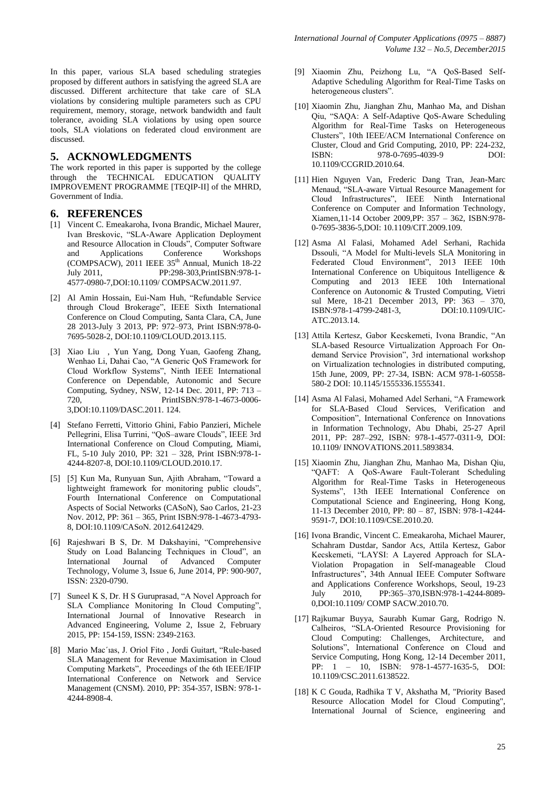In this paper, various SLA based scheduling strategies proposed by different authors in satisfying the agreed SLA are discussed. Different architecture that take care of SLA violations by considering multiple parameters such as CPU requirement, memory, storage, network bandwidth and fault tolerance, avoiding SLA violations by using open source tools, SLA violations on federated cloud environment are discussed.

#### **5. ACKNOWLEDGMENTS**

The work reported in this paper is supported by the college through the TECHNICAL EDUCATION QUALITY IMPROVEMENT PROGRAMME [TEQIP-II] of the MHRD, Government of India.

#### **6. REFERENCES**

- [1] Vincent C. Emeakaroha, Ivona Brandic, Michael Maurer, Ivan Breskovic, "SLA-Aware Application Deployment and Resource Allocation in Clouds", Computer Software and Applications Conference Workshops  $\frac{\text{(COMPSACW)}}{\text{July } 2011}$ , 2011 IEEE 35<sup>th</sup> Annual, Munich 18-22<br>July 2011. PP:298-303.PrintISBN:978-1-PP:298-303.PrintISBN:978-1-4577-0980-7,DOI:10.1109/ COMPSACW.2011.97.
- [2] Al Amin Hossain, Eui-Nam Huh, "Refundable Service through Cloud Brokerage", IEEE Sixth International Conference on Cloud Computing, Santa Clara, CA, June 28 2013-July 3 2013, PP: 972–973, Print ISBN:978-0- 7695-5028-2, DOI:10.1109/CLOUD.2013.115.
- [3] Xiao Liu , Yun Yang, Dong Yuan, Gaofeng Zhang, Wenhao Li, Dahai Cao, "A Generic QoS Framework for Cloud Workflow Systems", Ninth IEEE International Conference on Dependable, Autonomic and Secure Computing, Sydney, NSW, 12-14 Dec. 2011, PP: 713 – 720, PrintISBN:978-1-4673-0006- 3,DOI:10.1109/DASC.2011. 124.
- [4] Stefano Ferretti, Vittorio Ghini, Fabio Panzieri, Michele Pellegrini, Elisa Turrini, "QoS–aware Clouds", IEEE 3rd International Conference on Cloud Computing, Miami, FL, 5-10 July 2010, PP: 321 – 328, Print ISBN:978-1- 4244-8207-8, DOI:10.1109/CLOUD.2010.17.
- [5] [5] Kun Ma, Runyuan Sun, Ajith Abraham, "Toward a lightweight framework for monitoring public clouds", Fourth International Conference on Computational Aspects of Social Networks (CASoN), Sao Carlos, 21-23 Nov. 2012, PP: 361 – 365, Print ISBN:978-1-4673-4793- 8, DOI:10.1109/CASoN. 2012.6412429.
- [6] Rajeshwari B S, Dr. M Dakshayini, "Comprehensive Study on Load Balancing Techniques in Cloud", an International Journal of Advanced Computer Technology, Volume 3, Issue 6, June 2014, PP: 900-907, ISSN: 2320-0790.
- [7] Suneel K S, Dr. H S Guruprasad, "A Novel Approach for SLA Compliance Monitoring In Cloud Computing", International Journal of Innovative Research in Advanced Engineering, Volume 2, Issue 2, February 2015, PP: 154-159, ISSN: 2349-2163.
- [8] Mario Mac´ıas, J. Oriol Fito , Jordi Guitart, "Rule-based SLA Management for Revenue Maximisation in Cloud Computing Markets", Proceedings of the 6th IEEE/IFIP International Conference on Network and Service Management (CNSM). 2010, PP: 354-357, ISBN: 978-1- 4244-8908-4.
- [9] Xiaomin Zhu, Peizhong Lu, "A QoS-Based Self-Adaptive Scheduling Algorithm for Real-Time Tasks on heterogeneous clusters".
- [10] Xiaomin Zhu, Jianghan Zhu, Manhao Ma, and Dishan Qiu, "SAQA: A Self-Adaptive QoS-Aware Scheduling Algorithm for Real-Time Tasks on Heterogeneous Clusters", 10th IEEE/ACM International Conference on Cluster, Cloud and Grid Computing, 2010, PP: 224-232, ISBN: 978-0-7695-4039-9 DOI: 10.1109/CCGRID.2010.64.
- [11] Hien Nguyen Van, Frederic Dang Tran, Jean-Marc Menaud, "SLA-aware Virtual Resource Management for Cloud Infrastructures", IEEE Ninth International Conference on Computer and Information Technology, Xiamen,11-14 October 2009,PP: 357 – 362, ISBN:978- 0-7695-3836-5,DOI: 10.1109/CIT.2009.109.
- [12] Asma Al Falasi, Mohamed Adel Serhani, Rachida Dssouli, "A Model for Multi-levels SLA Monitoring in Federated Cloud Environment", 2013 IEEE 10th International Conference on Ubiquitous Intelligence & Computing and 2013 IEEE 10th International Conference on Autonomic & Trusted Computing, Vietri sul Mere, 18-21 December 2013, PP: 363 - 370, ISBN:978-1-4799-2481-3, DOI:10.1109/UIC-ISBN:978-1-4799-2481-3, ATC.2013.14.
- [13] Attila Kertesz, Gabor Kecskemeti, Ivona Brandic, "An SLA-based Resource Virtualization Approach For Ondemand Service Provision", 3rd international workshop on Virtualization technologies in distributed computing, 15th June, 2009, PP: 27-34, ISBN: ACM 978-1-60558- 580-2 DOI: 10.1145/1555336.1555341.
- [14] Asma Al Falasi, Mohamed Adel Serhani, "A Framework for SLA-Based Cloud Services, Verification and Composition", International Conference on Innovations in Information Technology, Abu Dhabi, 25-27 April 2011, PP: 287–292, ISBN: 978-1-4577-0311-9, DOI: 10.1109/ INNOVATIONS.2011.5893834.
- [15] Xiaomin Zhu, Jianghan Zhu, Manhao Ma, Dishan Qiu, "QAFT: A QoS-Aware Fault-Tolerant Scheduling Algorithm for Real-Time Tasks in Heterogeneous Systems", 13th IEEE International Conference on Computational Science and Engineering, Hong Kong, 11-13 December 2010, PP: 80 – 87, ISBN: 978-1-4244- 9591-7, DOI:10.1109/CSE.2010.20.
- [16] Ivona Brandic, Vincent C. Emeakaroha, Michael Maurer, Schahram Dustdar, Sandor Acs, Attila Kertesz, Gabor Kecskemeti, "LAYSI: A Layered Approach for SLA-Violation Propagation in Self-manageable Cloud Infrastructures", 34th Annual IEEE Computer Software and Applications Conference Workshops, Seoul, 19-23 July 2010, PP:365–370,ISBN:978-1-4244-8089- 0,DOI:10.1109/ COMP SACW.2010.70.
- [17] Rajkumar Buyya, Saurabh Kumar Garg, Rodrigo N. Calheiros, "SLA-Oriented Resource Provisioning for Cloud Computing: Challenges, Architecture, and Solutions", International Conference on Cloud and Service Computing, Hong Kong, 12-14 December 2011, PP: 1 – 10, ISBN: 978-1-4577-1635-5, DOI: 10.1109/CSC.2011.6138522.
- [18] K C Gouda, Radhika T V, Akshatha M, "Priority Based Resource Allocation Model for Cloud Computing", International Journal of Science, engineering and